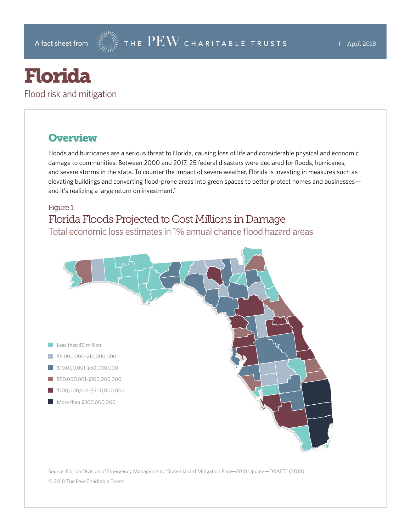# Florida

Flood risk and mitigation

## **Overview**

Floods and hurricanes are a serious threat to Florida, causing loss of life and considerable physical and economic damage to communities. Between 2000 and 2017, 25 federal disasters were declared for floods, hurricanes, and severe storms in the state. To counter the impact of severe weather, Florida is investing in measures such as elevating buildings and converting flood-prone areas into green spaces to better protect homes and businesses and it's realizing a large return on investment.<sup>1</sup>

#### Figure 1 Florida Floods Projected to Cost Millions in Damage Total economic loss estimates in 1% annual chance flood hazard areas



Source: Florida Division of Emergency Management, "State Hazard Mitigation Plan—2018 Update—DRAFT" (2018) © 2018 The Pew Charitable Trusts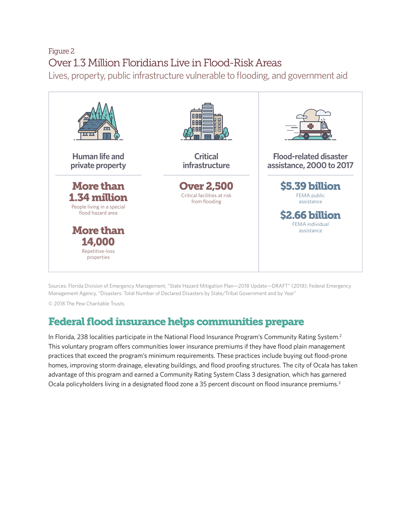# Figure 2 Over 1.3 Million Floridians Live in Flood-Risk Areas

Lives, property, public infrastructure vulnerable to flooding, and government aid



Sources: Florida Division of Emergency Management, "State Hazard Mitigation Plan—2018 Update—DRAFT" (2018); Federal Emergency Management Agency, "Disasters: Total Number of Declared Disasters by State/Tribal Government and by Year"

© 2018 The Pew Charitable Trusts

# Federal flood insurance helps communities prepare

In Florida, 238 localities participate in the National Flood Insurance Program's Community Rating System.<sup>2</sup> This voluntary program offers communities lower insurance premiums if they have flood plain management practices that exceed the program's minimum requirements. These practices include buying out flood-prone homes, improving storm drainage, elevating buildings, and flood proofing structures. The city of Ocala has taken advantage of this program and earned a Community Rating System Class 3 designation, which has garnered Ocala policyholders living in a designated flood zone a 35 percent discount on flood insurance premiums.<sup>3</sup>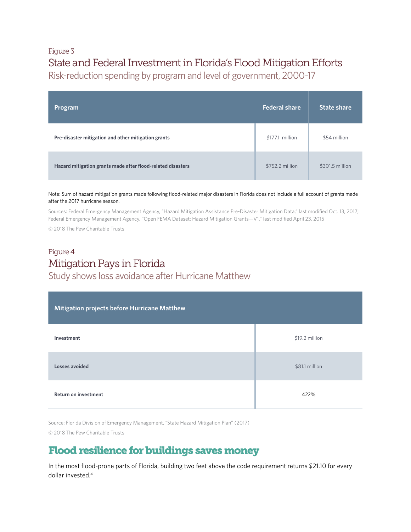#### Figure 3 State and Federal Investment in Florida's Flood Mitigation Efforts Risk-reduction spending by program and level of government, 2000-17

| Program                                                     | <b>Federal share</b> | <b>State share</b> |
|-------------------------------------------------------------|----------------------|--------------------|
| Pre-disaster mitigation and other mitigation grants         | \$177.1 million      | \$54 million       |
| Hazard mitigation grants made after flood-related disasters | \$752.2 million      | \$301.5 million    |

Note: Sum of hazard mitigation grants made following flood-related major disasters in Florida does not include a full account of grants made after the 2017 hurricane season.

Sources: Federal Emergency Management Agency, "Hazard Mitigation Assistance Pre-Disaster Mitigation Data," last modified Oct. 13, 2017; Federal Emergency Management Agency, "Open FEMA Dataset: Hazard Mitigation Grants—V1," last modified April 23, 2015

© 2018 The Pew Charitable Trusts

#### Figure 4 Mitigation Pays in Florida Study shows loss avoidance after Hurricane Matthew

| Mitigation projects before Hurricane Matthew |                |  |
|----------------------------------------------|----------------|--|
| Investment                                   | \$19.2 million |  |
| Losses avoided                               | \$81.1 million |  |
| <b>Return on investment</b>                  | 422%           |  |

Source: Florida Division of Emergency Management, "State Hazard Mitigation Plan" (2017)

© 2018 The Pew Charitable Trusts

# Flood resilience for buildings saves money

In the most flood-prone parts of Florida, building two feet above the code requirement returns \$21.10 for every dollar invested.4